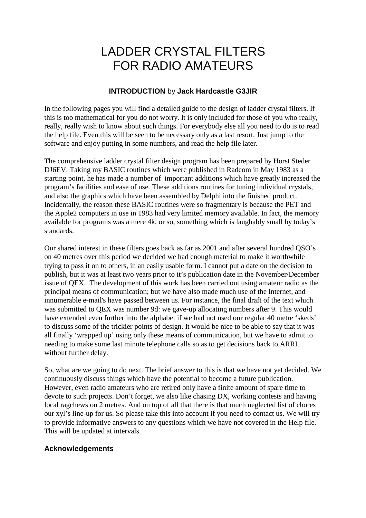## LADDER CRYSTAL FILTERS FOR RADIO AMATEURS

## **INTRODUCTION** by **Jack Hardcastle G3JIR**

In the following pages you will find a detailed guide to the design of ladder crystal filters. If this is too mathematical for you do not worry. It is only included for those of you who really, really, really wish to know about such things. For everybody else all you need to do is to read the help file. Even this will be seen to be necessary only as a last resort. Just jump to the software and enjoy putting in some numbers, and read the help file later.

The comprehensive ladder crystal filter design program has been prepared by Horst Steder DJ6EV. Taking my BASIC routines which were published in Radcom in May 1983 as a starting point, he has made a number of important additions which have greatly increased the program's facilities and ease of use. These additions routines for tuning individual crystals, and also the graphics which have been assembled by Delphi into the finished product. Incidentally, the reason these BASIC routines were so fragmentary is because the PET and the Apple2 computers in use in 1983 had very limited memory available. In fact, the memory available for programs was a mere 4k, or so, something which is laughably small by today's standards.

Our shared interest in these filters goes back as far as 2001 and after several hundred QSO's on 40 metres over this period we decided we had enough material to make it worthwhile trying to pass it on to others, in an easily usable form. I cannot put a date on the decision to publish, but it was at least two years prior to it's publication date in the November/December issue of QEX. The development of this work has been carried out using amateur radio as the principal means of communication; but we have also made much use of the Internet, and innumerable e-mail's have passed between us. For instance, the final draft of the text which was submitted to QEX was number 9d: we gave-up allocating numbers after 9. This would have extended even further into the alphabet if we had not used our regular 40 metre 'skeds' to discuss some of the trickier points of design. It would be nice to be able to say that it was all finally 'wrapped up' using only these means of communication, but we have to admit to needing to make some last minute telephone calls so as to get decisions back to ARRL without further delay.

So, what are we going to do next. The brief answer to this is that we have not yet decided. We continuously discuss things which have the potential to become a future publication. However, even radio amateurs who are retired only have a finite amount of spare time to devote to such projects. Don't forget, we also like chasing DX, working contests and having local ragchews on 2 metres. And on top of all that there is that much neglected list of chores our xyl's line-up for us. So please take this into account if you need to contact us. We will try to provide informative answers to any questions which we have not covered in the Help file. This will be updated at intervals.

## **Acknowledgements**